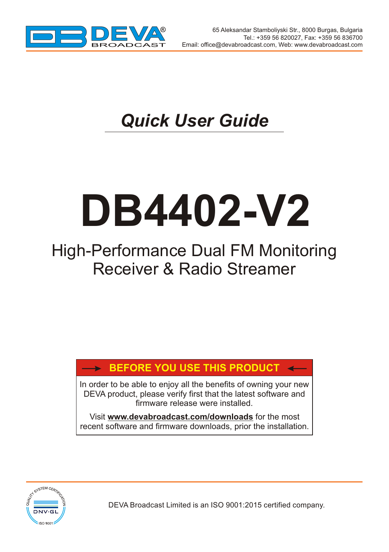

 $\overline{\phantom{a}}$ 

# *Quick User Guide*

# **DB4402-V2**

## High-Performance Dual FM Monitoring Receiver & Radio Streamer

### **BEFORE YOU USE THIS PRODUCT**

In order to be able to enjoy all the benefits of owning your new DEVA product, please verify first that the latest software and firmware release were installed.

Visit **www.devabroadcast.com/downloads** for the most recent software and firmware downloads, prior the installation.



DEVA Broadcast Limited is an ISO 9001:2015 certified company.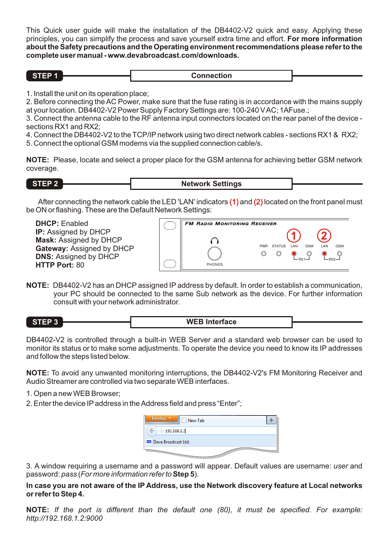This Quick user guide will make the installation of the DB4402-V2 quick and easy. Applying these principles, you can simplify the process and save yourself extra time and effort. **For more information about the Safety precautions and the Operating environment recommendations please refer to the complete user manual - www.devabroadcast.com/downloads.**

**Connection** 

1. Install the unit on its operation place;

2. Before connecting the AC Power, make sure that the fuse rating is in accordance with the mains supply at your location. DB4402-V2 Power Supply Factory Settings are: 100-240 V AC; 1AFuse.;

3. Connect the antenna cable to the RF antenna input connectors located on the rear panel of the device sections RX1 and RX2;

4. Connect the DB4402-V2 to the TCP/IP network using two direct network cables - sections RX1 & RX2;

5. Connect the optional GSM modems via the supplied connection cable/s.

**NOTE:** Please, locate and select a proper place for the GSM antenna for achieving better GSM network coverage.

**STEP 2 Network Settings** 

After connecting the network cable the LED 'LAN' indicators  $(1)$  and  $(2)$  located on the front panel must be ON or flashing. These are the Default Network Settings:

| <b>DHCP:</b> Enabled          | <b>FM RADIO MONITORING RECEIVER</b>                                   |
|-------------------------------|-----------------------------------------------------------------------|
| <b>IP:</b> Assigned by DHCP   |                                                                       |
| <b>Mask: Assigned by DHCP</b> |                                                                       |
| Gateway: Assigned by DHCP     | <b>GSM</b><br><b>STATUS</b><br><b>AN</b><br>GSM<br>I AN<br><b>PWR</b> |
| <b>DNS: Assigned by DHCP</b>  |                                                                       |
| <b>HTTP Port: 80</b>          | PHONES                                                                |

**NOTE:** DB4402-V2 has an DHCP assigned IP address by default. In order to establish a communication, your PC should be connected to the same Sub network as the device. For further information consult with your network administrator.

**STEP 3 WEB Interface**

DB4402-V2 is controlled through a built-in WEB Server and a standard web browser can be used to monitor its status or to make some adjustments. To operate the device you need to know its IP addresses and follow the steps listed below.

**NOTE:** To avoid any unwanted monitoring interruptions, the DB4402-V2's FM Monitoring Receiver and Audio Streamer are controlled via two separate WEB interfaces.

- 1. Open a new WEB Browser;
- 2. Enter the device IP address in the Address field and press "Enter";

| Firefox <b>v</b><br>New Tab |  |
|-----------------------------|--|
| 192.168.1.2                 |  |
| Deva Broadcast Ltd.         |  |
|                             |  |

3. A window requiring a username and a password will appear. Default values are username: *user* and password: *pass* (*For more information refer to* **Step 5**).

**In case you are not aware of the IP Address, use the Network discovery feature at Local networks or refer to Step 4.**

**NOTE:** *If the port is different than the default one (80), it must be specified. For example: http://192.168.1.2:9000*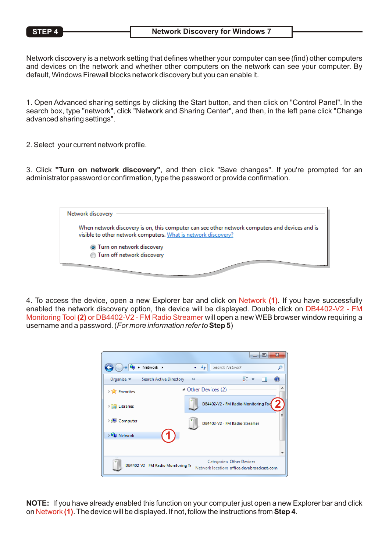Network discovery is a network setting that defines whether your computer can see (find) other computers and devices on the network and whether other computers on the network can see your computer. By default, Windows Firewall blocks network discovery but you can enable it.

1. Open Advanced sharing settings by clicking the Start button, and then click on "Control Panel". In the search box, type "network", click "Network and Sharing Center", and then, in the left pane click "Change advanced sharing settings".

2. Select your current network profile.

3. Click **"Turn on network discovery"**, and then click "Save changes". If you're prompted for an administrator password or confirmation, type the password or provide confirmation.



4. To access the device, open a new Explorer bar and click on Network **(1)**. If you have successfully enabled the network discovery option, the device will be displayed. Double click on DB4402-V2 - FM Monitoring Tool **(2)** or DB4402-V2 - FM Radio Streamer will open a new WEB browser window requiring a username and a password. (*For more information refer to***Step 5**)



**NOTE:** If you have already enabled this function on your computer just open a new Explorer bar and click on Network **(1)**. The device will be displayed. If not, follow the instructions from **Step 4**.